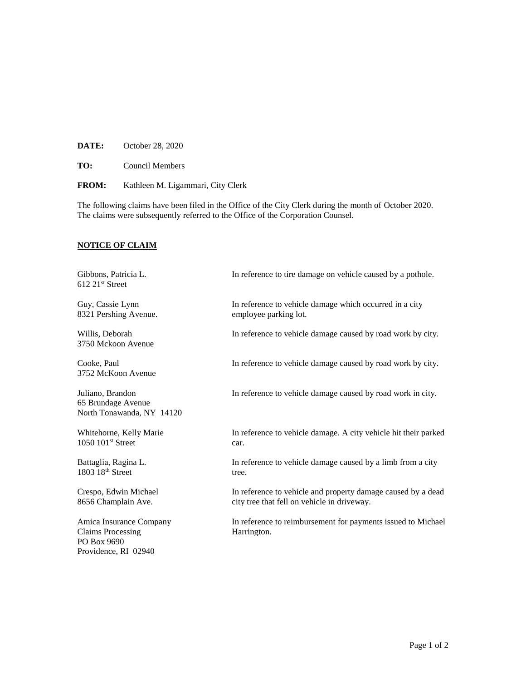**DATE:** October 28, 2020

**TO:** Council Members

**FROM:** Kathleen M. Ligammari, City Clerk

The following claims have been filed in the Office of the City Clerk during the month of October 2020. The claims were subsequently referred to the Office of the Corporation Counsel.

## **NOTICE OF CLAIM**

Gibbons, Patricia L. **In reference to tire damage on vehicle caused by a pothole.**  $612$   $21$ <sup>st</sup> Street Guy, Cassie Lynn In reference to vehicle damage which occurred in a city 8321 Pershing Avenue. employee parking lot. Willis, Deborah In reference to vehicle damage caused by road work by city. 3750 Mckoon Avenue Cooke, Paul In reference to vehicle damage caused by road work by city. 3752 McKoon Avenue Juliano, Brandon In reference to vehicle damage caused by road work in city. 65 Brundage Avenue North Tonawanda, NY 14120 Whitehorne, Kelly Marie **In reference to vehicle damage.** A city vehicle hit their parked  $1050$   $101$ <sup>st</sup> Street car. Battaglia, Ragina L. **In reference to vehicle damage caused by a limb from a city** 1803 18<sup>th</sup> Street tree. Crespo, Edwin Michael In reference to vehicle and property damage caused by a dead 8656 Champlain Ave. city tree that fell on vehicle in driveway. Amica Insurance Company In reference to reimbursement for payments issued to Michael Claims Processing Harrington. PO Box 9690 Providence, RI 02940